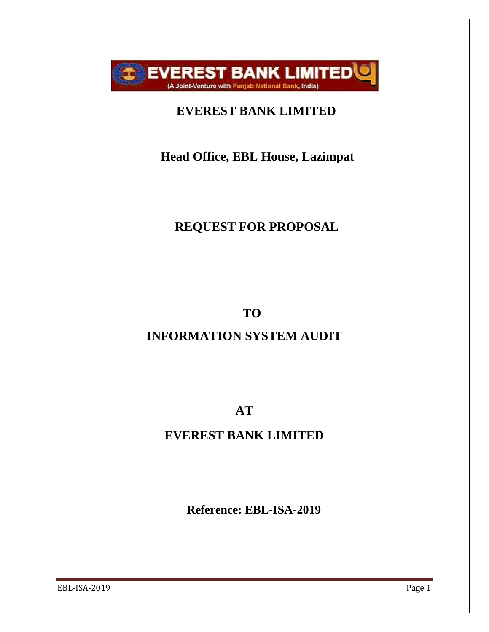

# **EVEREST BANK LIMITED**

# **Head Office, EBL House, Lazimpat**

# **REQUEST FOR PROPOSAL**

**TO**

# **INFORMATION SYSTEM AUDIT**

**AT**

# **EVEREST BANK LIMITED**

**Reference: EBL-ISA-2019**

EBL-ISA-2019 Page 1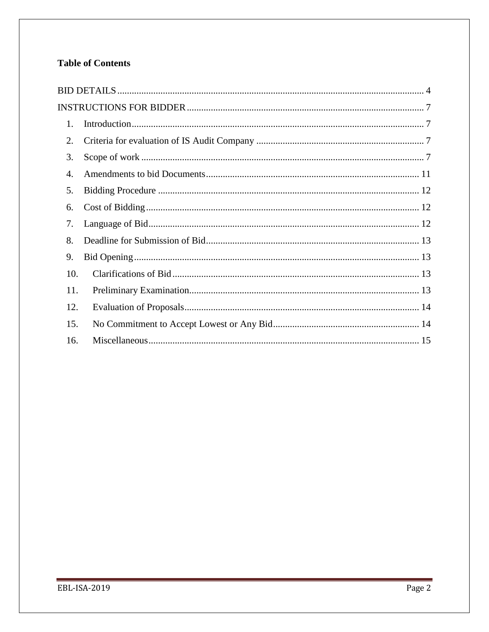### **Table of Contents**

| $\mathbf{1}$ . |  |
|----------------|--|
| 2.             |  |
| 3.             |  |
| 4.             |  |
| 5.             |  |
| 6.             |  |
| 7.             |  |
| 8.             |  |
| 9.             |  |
| 10.            |  |
| 11.            |  |
| 12.            |  |
| 15.            |  |
| 16.            |  |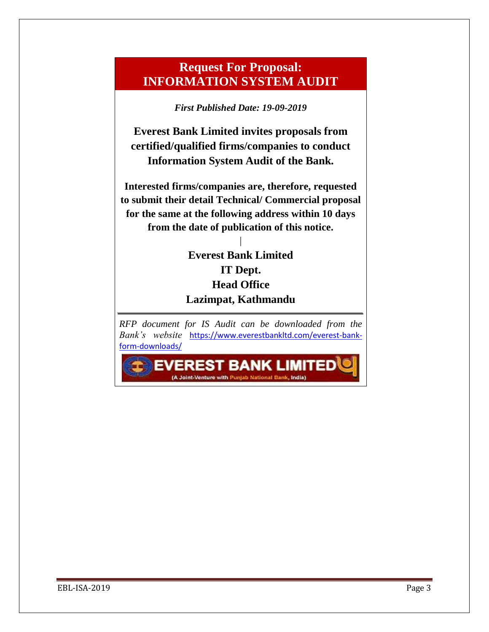## **Request For Proposal: INFORMATION SYSTEM AUDIT**

*First Published Date: 19-09-2019*

**Everest Bank Limited invites proposals from certified/qualified firms/companies to conduct Information System Audit of the Bank.**

**Interested firms/companies are, therefore, requested to submit their detail Technical/ Commercial proposal for the same at the following address within 10 days from the date of publication of this notice.**

## **Everest Bank Limited IT Dept. Head Office Lazimpat, Kathmandu**

|

*RFP document for IS Audit can be downloaded from the Bank's website* [https://www.everestbankltd.com/everest-bank](https://www.everestbankltd.com/everest-bank-form-downloads/)[form-downloads/](https://www.everestbankltd.com/everest-bank-form-downloads/)

(A Joint-Venture with Punjab National Bank, India)

**EVEREST BANK LIMITEDV**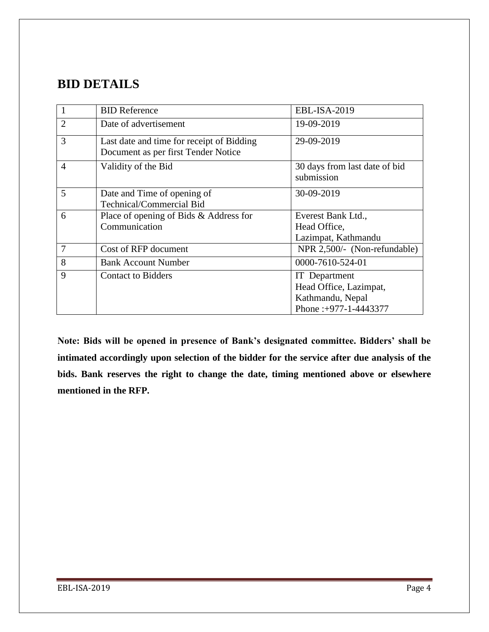# <span id="page-3-0"></span>**BID DETAILS**

| $\mathbf{1}$   | <b>BID Reference</b>                                                             | EBL-ISA-2019                                                                                |
|----------------|----------------------------------------------------------------------------------|---------------------------------------------------------------------------------------------|
| $\overline{2}$ | Date of advertisement                                                            | 19-09-2019                                                                                  |
| 3              | Last date and time for receipt of Bidding<br>Document as per first Tender Notice | 29-09-2019                                                                                  |
| $\overline{4}$ | Validity of the Bid                                                              | 30 days from last date of bid<br>submission                                                 |
| 5              | Date and Time of opening of<br>Technical/Commercial Bid                          | 30-09-2019                                                                                  |
| 6              | Place of opening of Bids & Address for<br>Communication                          | Everest Bank Ltd.,<br>Head Office,<br>Lazimpat, Kathmandu                                   |
| 7              | Cost of RFP document                                                             | NPR 2,500/- (Non-refundable)                                                                |
| 8              | <b>Bank Account Number</b>                                                       | 0000-7610-524-01                                                                            |
| 9              | <b>Contact to Bidders</b>                                                        | <b>IT</b> Department<br>Head Office, Lazimpat,<br>Kathmandu, Nepal<br>Phone: +977-1-4443377 |

**Note: Bids will be opened in presence of Bank's designated committee. Bidders' shall be intimated accordingly upon selection of the bidder for the service after due analysis of the bids. Bank reserves the right to change the date, timing mentioned above or elsewhere mentioned in the RFP.**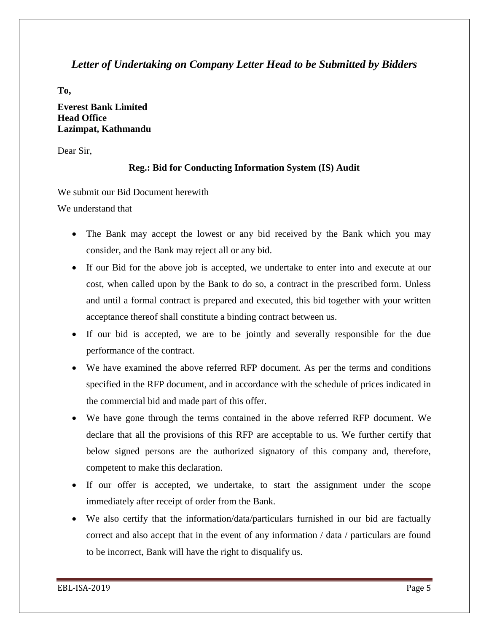#### *Letter of Undertaking on Company Letter Head to be Submitted by Bidders*

**To,**

#### **Everest Bank Limited Head Office Lazimpat, Kathmandu**

Dear Sir,

#### **Reg.: Bid for Conducting Information System (IS) Audit**

We submit our Bid Document herewith

We understand that

- The Bank may accept the lowest or any bid received by the Bank which you may consider, and the Bank may reject all or any bid.
- If our Bid for the above job is accepted, we undertake to enter into and execute at our cost, when called upon by the Bank to do so, a contract in the prescribed form. Unless and until a formal contract is prepared and executed, this bid together with your written acceptance thereof shall constitute a binding contract between us.
- If our bid is accepted, we are to be jointly and severally responsible for the due performance of the contract.
- We have examined the above referred RFP document. As per the terms and conditions specified in the RFP document, and in accordance with the schedule of prices indicated in the commercial bid and made part of this offer.
- We have gone through the terms contained in the above referred RFP document. We declare that all the provisions of this RFP are acceptable to us. We further certify that below signed persons are the authorized signatory of this company and, therefore, competent to make this declaration.
- If our offer is accepted, we undertake, to start the assignment under the scope immediately after receipt of order from the Bank.
- We also certify that the information/data/particulars furnished in our bid are factually correct and also accept that in the event of any information / data / particulars are found to be incorrect, Bank will have the right to disqualify us.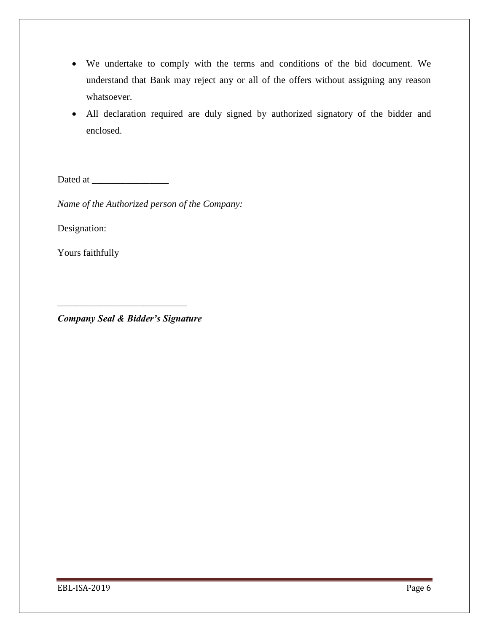- We undertake to comply with the terms and conditions of the bid document. We understand that Bank may reject any or all of the offers without assigning any reason whatsoever.
- All declaration required are duly signed by authorized signatory of the bidder and enclosed.

Dated at \_\_\_\_\_\_\_\_\_\_\_\_\_\_\_\_

*Name of the Authorized person of the Company:*

Designation:

Yours faithfully

*Company Seal & Bidder's Signature*

\_\_\_\_\_\_\_\_\_\_\_\_\_\_\_\_\_\_\_\_\_\_\_\_\_\_\_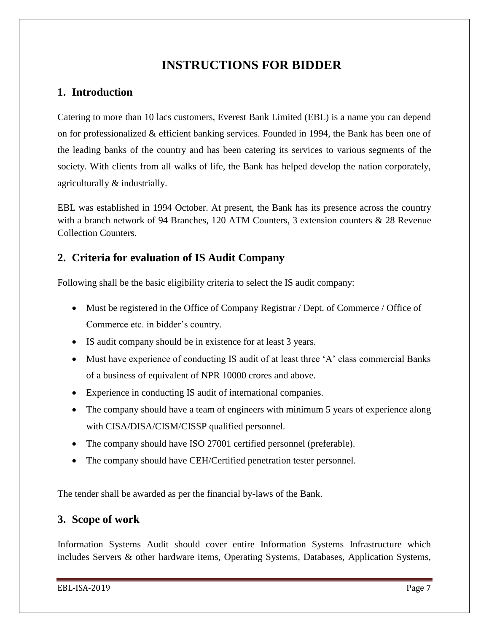# **INSTRUCTIONS FOR BIDDER**

### <span id="page-6-1"></span><span id="page-6-0"></span>**1. Introduction**

Catering to more than 10 lacs customers, Everest Bank Limited (EBL) is a name you can depend on for professionalized & efficient banking services. Founded in 1994, the Bank has been one of the leading banks of the country and has been catering its services to various segments of the society. With clients from all walks of life, the Bank has helped develop the nation corporately, agriculturally & industrially.

EBL was established in 1994 October. At present, the Bank has its presence across the country with a branch network of 94 Branches, 120 ATM Counters, 3 extension counters & 28 Revenue Collection Counters.

### <span id="page-6-2"></span>**2. Criteria for evaluation of IS Audit Company**

Following shall be the basic eligibility criteria to select the IS audit company:

- Must be registered in the Office of Company Registrar / Dept. of Commerce / Office of Commerce etc. in bidder"s country.
- IS audit company should be in existence for at least 3 years.
- Must have experience of conducting IS audit of at least three 'A' class commercial Banks of a business of equivalent of NPR 10000 crores and above.
- Experience in conducting IS audit of international companies.
- The company should have a team of engineers with minimum 5 years of experience along with CISA/DISA/CISM/CISSP qualified personnel.
- The company should have ISO 27001 certified personnel (preferable).
- The company should have CEH/Certified penetration tester personnel.

The tender shall be awarded as per the financial by-laws of the Bank.

### <span id="page-6-3"></span>**3. Scope of work**

Information Systems Audit should cover entire Information Systems Infrastructure which includes Servers & other hardware items, Operating Systems, Databases, Application Systems,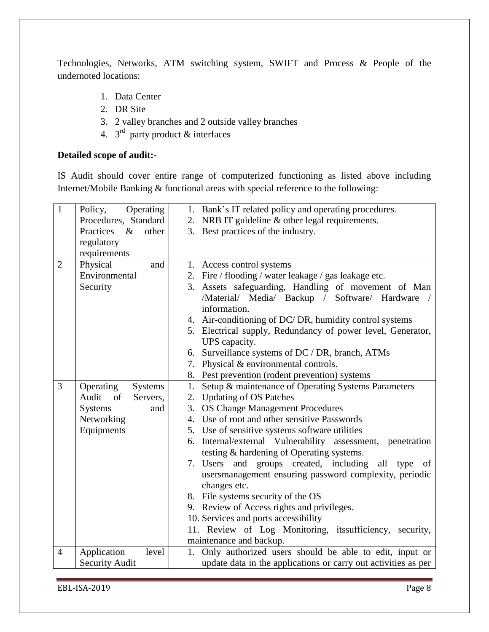Technologies, Networks, ATM switching system, SWIFT and Process & People of the undernoted locations:

- 1. Data Center
- 2. DR Site
- 3. 2 valley branches and 2 outside valley branches
- 4.  $3<sup>rd</sup>$  party product & interfaces

#### **Detailed scope of audit:-**

IS Audit should cover entire range of computerized functioning as listed above including Internet/Mobile Banking & functional areas with special reference to the following:

| $\mathbf{1}$   | Operating<br>Policy,       | 1. Bank's IT related policy and operating procedures.          |
|----------------|----------------------------|----------------------------------------------------------------|
|                | Procedures, Standard       | 2. NRB IT guideline & other legal requirements.                |
|                | Practices<br>$\&$<br>other | 3. Best practices of the industry.                             |
|                | regulatory                 |                                                                |
|                | requirements               |                                                                |
| $\overline{2}$ | Physical<br>and            | 1. Access control systems                                      |
|                | Environmental              | 2. Fire / flooding / water leakage / gas leakage etc.          |
|                | Security                   | 3. Assets safeguarding, Handling of movement of Man            |
|                |                            | /Material/ Media/ Backup / Software/ Hardware                  |
|                |                            | information.                                                   |
|                |                            | 4. Air-conditioning of DC/DR, humidity control systems         |
|                |                            | 5. Electrical supply, Redundancy of power level, Generator,    |
|                |                            | UPS capacity.                                                  |
|                |                            | 6. Surveillance systems of DC / DR, branch, ATMs               |
|                |                            | 7. Physical & environmental controls.                          |
|                |                            | 8. Pest prevention (rodent prevention) systems                 |
| 3              | Operating<br>Systems       | Setup & maintenance of Operating Systems Parameters<br>1.      |
|                | Audit of<br>Servers,       | 2. Updating of OS Patches                                      |
|                | <b>Systems</b><br>and      | 3. OS Change Management Procedures                             |
|                | Networking                 | 4. Use of root and other sensitive Passwords                   |
|                | Equipments                 | 5. Use of sensitive systems software utilities                 |
|                |                            | 6. Internal/external Vulnerability assessment, penetration     |
|                |                            | testing & hardening of Operating systems.                      |
|                |                            | 7. Users and groups created, including<br>all type of          |
|                |                            | usersmanagement ensuring password complexity, periodic         |
|                |                            | changes etc.                                                   |
|                |                            | 8. File systems security of the OS                             |
|                |                            | 9. Review of Access rights and privileges.                     |
|                |                            | 10. Services and ports accessibility                           |
|                |                            | 11. Review of Log Monitoring, its ufficiency, security,        |
|                |                            | maintenance and backup.                                        |
| $\overline{4}$ | Application<br>level       | 1. Only authorized users should be able to edit, input or      |
|                | <b>Security Audit</b>      | update data in the applications or carry out activities as per |

EBL-ISA-2019 Page 8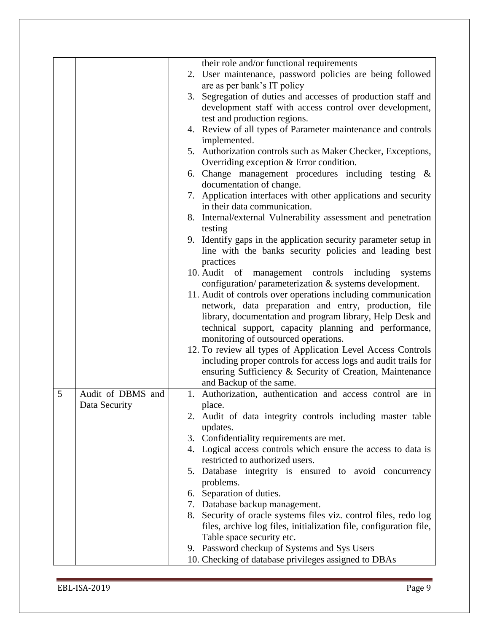|   |                                    | their role and/or functional requirements<br>2. User maintenance, password policies are being followed<br>are as per bank's IT policy<br>Segregation of duties and accesses of production staff and<br>3.<br>development staff with access control over development,<br>test and production regions.<br>4. Review of all types of Parameter maintenance and controls<br>implemented.<br>5. Authorization controls such as Maker Checker, Exceptions,<br>Overriding exception $&$ Error condition.<br>6. Change management procedures including testing &<br>documentation of change.<br>7. Application interfaces with other applications and security<br>in their data communication.<br>8. Internal/external Vulnerability assessment and penetration<br>testing<br>9. Identify gaps in the application security parameter setup in<br>line with the banks security policies and leading best<br>practices<br>management controls including<br>10. Audit of<br>systems<br>configuration/ parameterization & systems development.<br>11. Audit of controls over operations including communication<br>network, data preparation and entry, production, file<br>library, documentation and program library, Help Desk and<br>technical support, capacity planning and performance,<br>monitoring of outsourced operations. |
|---|------------------------------------|----------------------------------------------------------------------------------------------------------------------------------------------------------------------------------------------------------------------------------------------------------------------------------------------------------------------------------------------------------------------------------------------------------------------------------------------------------------------------------------------------------------------------------------------------------------------------------------------------------------------------------------------------------------------------------------------------------------------------------------------------------------------------------------------------------------------------------------------------------------------------------------------------------------------------------------------------------------------------------------------------------------------------------------------------------------------------------------------------------------------------------------------------------------------------------------------------------------------------------------------------------------------------------------------------------------------------|
|   |                                    | including proper controls for access logs and audit trails for<br>ensuring Sufficiency & Security of Creation, Maintenance                                                                                                                                                                                                                                                                                                                                                                                                                                                                                                                                                                                                                                                                                                                                                                                                                                                                                                                                                                                                                                                                                                                                                                                                 |
|   |                                    | and Backup of the same.                                                                                                                                                                                                                                                                                                                                                                                                                                                                                                                                                                                                                                                                                                                                                                                                                                                                                                                                                                                                                                                                                                                                                                                                                                                                                                    |
| 5 | Audit of DBMS and<br>Data Security | 1. Authorization, authentication and access control are in<br>place.<br>2. Audit of data integrity controls including master table                                                                                                                                                                                                                                                                                                                                                                                                                                                                                                                                                                                                                                                                                                                                                                                                                                                                                                                                                                                                                                                                                                                                                                                         |
|   |                                    | updates.<br>3. Confidentiality requirements are met.<br>4. Logical access controls which ensure the access to data is<br>restricted to authorized users.                                                                                                                                                                                                                                                                                                                                                                                                                                                                                                                                                                                                                                                                                                                                                                                                                                                                                                                                                                                                                                                                                                                                                                   |
|   |                                    | 5. Database integrity is ensured to avoid concurrency<br>problems.                                                                                                                                                                                                                                                                                                                                                                                                                                                                                                                                                                                                                                                                                                                                                                                                                                                                                                                                                                                                                                                                                                                                                                                                                                                         |
|   |                                    | 6. Separation of duties.<br>7. Database backup management.<br>8. Security of oracle systems files viz. control files, redo log<br>files, archive log files, initialization file, configuration file,<br>Table space security etc.<br>9. Password checkup of Systems and Sys Users                                                                                                                                                                                                                                                                                                                                                                                                                                                                                                                                                                                                                                                                                                                                                                                                                                                                                                                                                                                                                                          |
|   |                                    | 10. Checking of database privileges assigned to DBAs                                                                                                                                                                                                                                                                                                                                                                                                                                                                                                                                                                                                                                                                                                                                                                                                                                                                                                                                                                                                                                                                                                                                                                                                                                                                       |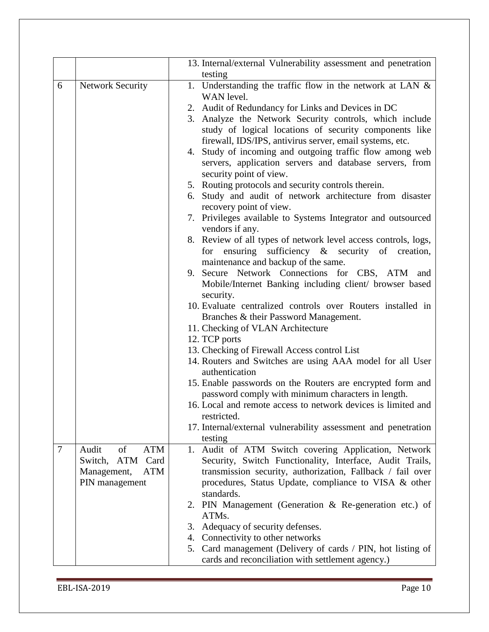|                |                         | 13. Internal/external Vulnerability assessment and penetration                                                                                 |
|----------------|-------------------------|------------------------------------------------------------------------------------------------------------------------------------------------|
| 6              | <b>Network Security</b> | testing<br>1. Understanding the traffic flow in the network at LAN $\&$                                                                        |
|                |                         | WAN level.                                                                                                                                     |
|                |                         | 2. Audit of Redundancy for Links and Devices in DC                                                                                             |
|                |                         | 3. Analyze the Network Security controls, which include<br>study of logical locations of security components like                              |
|                |                         | firewall, IDS/IPS, antivirus server, email systems, etc.                                                                                       |
|                |                         | 4. Study of incoming and outgoing traffic flow among web<br>servers, application servers and database servers, from<br>security point of view. |
|                |                         | 5. Routing protocols and security controls therein.                                                                                            |
|                |                         | 6. Study and audit of network architecture from disaster<br>recovery point of view.                                                            |
|                |                         | 7. Privileges available to Systems Integrator and outsourced<br>vendors if any.                                                                |
|                |                         | 8. Review of all types of network level access controls, logs,                                                                                 |
|                |                         | for ensuring sufficiency $\&$ security of creation,<br>maintenance and backup of the same.                                                     |
|                |                         | 9. Secure Network Connections for CBS, ATM and<br>Mobile/Internet Banking including client/ browser based                                      |
|                |                         | security.                                                                                                                                      |
|                |                         | 10. Evaluate centralized controls over Routers installed in                                                                                    |
|                |                         | Branches & their Password Management.                                                                                                          |
|                |                         | 11. Checking of VLAN Architecture                                                                                                              |
|                |                         | 12. TCP ports                                                                                                                                  |
|                |                         | 13. Checking of Firewall Access control List<br>14. Routers and Switches are using AAA model for all User<br>authentication                    |
|                |                         | 15. Enable passwords on the Routers are encrypted form and<br>password comply with minimum characters in length.                               |
|                |                         | 16. Local and remote access to network devices is limited and<br>restricted.                                                                   |
|                |                         | 17. Internal/external vulnerability assessment and penetration<br>testing                                                                      |
| $\overline{7}$ | of<br>ATM<br>Audit      | 1. Audit of ATM Switch covering Application, Network                                                                                           |
|                | ATM<br>Card<br>Switch,  | Security, Switch Functionality, Interface, Audit Trails,                                                                                       |
|                | Management,<br>ATM      | transmission security, authorization, Fallback / fail over                                                                                     |
|                | PIN management          | procedures, Status Update, compliance to VISA & other<br>standards.                                                                            |
|                |                         | 2. PIN Management (Generation & Re-generation etc.) of<br>ATMs.                                                                                |
|                |                         | 3. Adequacy of security defenses.                                                                                                              |
|                |                         | 4. Connectivity to other networks                                                                                                              |
|                |                         | 5. Card management (Delivery of cards / PIN, hot listing of                                                                                    |
|                |                         | cards and reconciliation with settlement agency.)                                                                                              |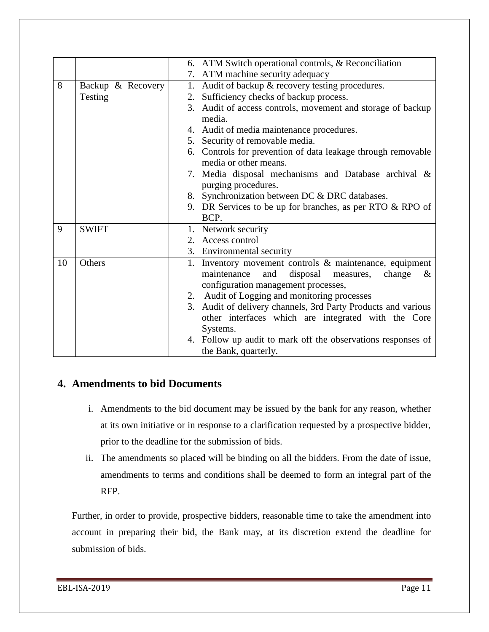|    |                   | 6. ATM Switch operational controls, & Reconciliation                                 |
|----|-------------------|--------------------------------------------------------------------------------------|
|    |                   | 7. ATM machine security adequacy                                                     |
| 8  | Backup & Recovery | 1. Audit of backup & recovery testing procedures.                                    |
|    | Testing           | Sufficiency checks of backup process.<br>2.                                          |
|    |                   | 3. Audit of access controls, movement and storage of backup                          |
|    |                   | media.                                                                               |
|    |                   | 4. Audit of media maintenance procedures.                                            |
|    |                   | 5. Security of removable media.                                                      |
|    |                   | 6. Controls for prevention of data leakage through removable                         |
|    |                   | media or other means.                                                                |
|    |                   | 7. Media disposal mechanisms and Database archival &                                 |
|    |                   | purging procedures.                                                                  |
|    |                   | 8. Synchronization between DC & DRC databases.                                       |
|    |                   | 9. DR Services to be up for branches, as per RTO $& RPO$ of                          |
|    |                   | BCP.                                                                                 |
| 9  | <b>SWIFT</b>      | 1. Network security                                                                  |
|    |                   | 2. Access control                                                                    |
|    |                   | 3. Environmental security                                                            |
| 10 | Others            | 1. Inventory movement controls & maintenance, equipment                              |
|    |                   | maintenance<br>and<br>disposal<br>change<br>measures,<br>$\&$                        |
|    |                   | configuration management processes,                                                  |
|    |                   | 2. Audit of Logging and monitoring processes                                         |
|    |                   | 3. Audit of delivery channels, 3rd Party Products and various                        |
|    |                   | other interfaces which are integrated with the Core                                  |
|    |                   | Systems.                                                                             |
|    |                   | 4. Follow up audit to mark off the observations responses of<br>the Bank, quarterly. |
|    |                   |                                                                                      |

### <span id="page-10-0"></span>**4. Amendments to bid Documents**

- i. Amendments to the bid document may be issued by the bank for any reason, whether at its own initiative or in response to a clarification requested by a prospective bidder, prior to the deadline for the submission of bids.
- ii. The amendments so placed will be binding on all the bidders. From the date of issue, amendments to terms and conditions shall be deemed to form an integral part of the RFP.

Further, in order to provide, prospective bidders, reasonable time to take the amendment into account in preparing their bid, the Bank may, at its discretion extend the deadline for submission of bids.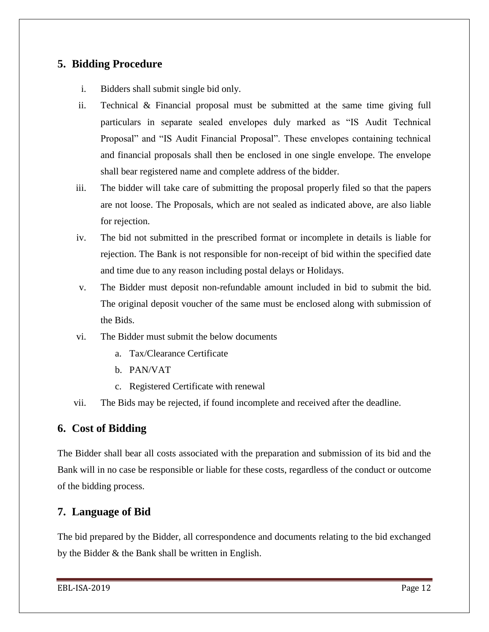### <span id="page-11-0"></span>**5. Bidding Procedure**

- i. Bidders shall submit single bid only.
- ii. Technical & Financial proposal must be submitted at the same time giving full particulars in separate sealed envelopes duly marked as "IS Audit Technical Proposal" and "IS Audit Financial Proposal". These envelopes containing technical and financial proposals shall then be enclosed in one single envelope. The envelope shall bear registered name and complete address of the bidder.
- iii. The bidder will take care of submitting the proposal properly filed so that the papers are not loose. The Proposals, which are not sealed as indicated above, are also liable for rejection.
- iv. The bid not submitted in the prescribed format or incomplete in details is liable for rejection. The Bank is not responsible for non-receipt of bid within the specified date and time due to any reason including postal delays or Holidays.
- v. The Bidder must deposit non-refundable amount included in bid to submit the bid. The original deposit voucher of the same must be enclosed along with submission of the Bids.
- vi. The Bidder must submit the below documents
	- a. Tax/Clearance Certificate
	- b. PAN/VAT
	- c. Registered Certificate with renewal
- vii. The Bids may be rejected, if found incomplete and received after the deadline.

#### <span id="page-11-1"></span>**6. Cost of Bidding**

The Bidder shall bear all costs associated with the preparation and submission of its bid and the Bank will in no case be responsible or liable for these costs, regardless of the conduct or outcome of the bidding process.

#### <span id="page-11-2"></span>**7. Language of Bid**

The bid prepared by the Bidder, all correspondence and documents relating to the bid exchanged by the Bidder & the Bank shall be written in English.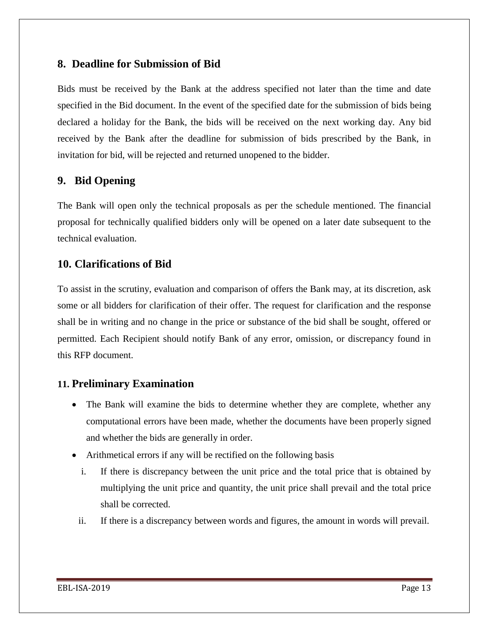#### <span id="page-12-0"></span>**8. Deadline for Submission of Bid**

Bids must be received by the Bank at the address specified not later than the time and date specified in the Bid document. In the event of the specified date for the submission of bids being declared a holiday for the Bank, the bids will be received on the next working day. Any bid received by the Bank after the deadline for submission of bids prescribed by the Bank, in invitation for bid, will be rejected and returned unopened to the bidder.

### <span id="page-12-1"></span>**9. Bid Opening**

The Bank will open only the technical proposals as per the schedule mentioned. The financial proposal for technically qualified bidders only will be opened on a later date subsequent to the technical evaluation.

#### <span id="page-12-2"></span>**10. Clarifications of Bid**

To assist in the scrutiny, evaluation and comparison of offers the Bank may, at its discretion, ask some or all bidders for clarification of their offer. The request for clarification and the response shall be in writing and no change in the price or substance of the bid shall be sought, offered or permitted. Each Recipient should notify Bank of any error, omission, or discrepancy found in this RFP document.

### <span id="page-12-3"></span>**11. Preliminary Examination**

- The Bank will examine the bids to determine whether they are complete, whether any computational errors have been made, whether the documents have been properly signed and whether the bids are generally in order.
- Arithmetical errors if any will be rectified on the following basis
	- i. If there is discrepancy between the unit price and the total price that is obtained by multiplying the unit price and quantity, the unit price shall prevail and the total price shall be corrected.
	- ii. If there is a discrepancy between words and figures, the amount in words will prevail.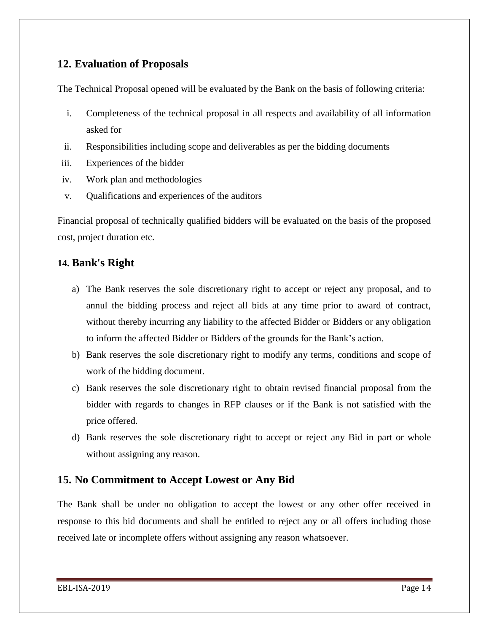#### <span id="page-13-0"></span>**12. Evaluation of Proposals**

The Technical Proposal opened will be evaluated by the Bank on the basis of following criteria:

- i. Completeness of the technical proposal in all respects and availability of all information asked for
- ii. Responsibilities including scope and deliverables as per the bidding documents
- iii. Experiences of the bidder
- iv. Work plan and methodologies
- v. Qualifications and experiences of the auditors

Financial proposal of technically qualified bidders will be evaluated on the basis of the proposed cost, project duration etc.

### **14. Bank's Right**

- a) The Bank reserves the sole discretionary right to accept or reject any proposal, and to annul the bidding process and reject all bids at any time prior to award of contract, without thereby incurring any liability to the affected Bidder or Bidders or any obligation to inform the affected Bidder or Bidders of the grounds for the Bank"s action.
- b) Bank reserves the sole discretionary right to modify any terms, conditions and scope of work of the bidding document.
- c) Bank reserves the sole discretionary right to obtain revised financial proposal from the bidder with regards to changes in RFP clauses or if the Bank is not satisfied with the price offered.
- d) Bank reserves the sole discretionary right to accept or reject any Bid in part or whole without assigning any reason.

## <span id="page-13-1"></span>**15. No Commitment to Accept Lowest or Any Bid**

The Bank shall be under no obligation to accept the lowest or any other offer received in response to this bid documents and shall be entitled to reject any or all offers including those received late or incomplete offers without assigning any reason whatsoever.